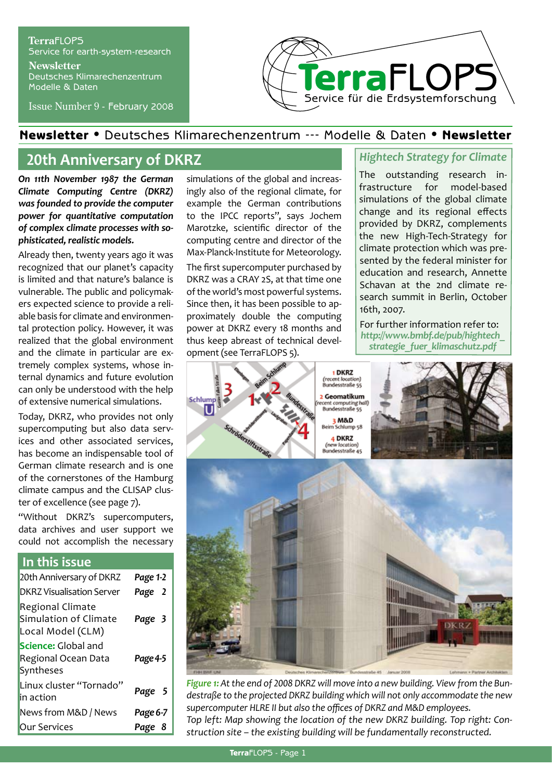### **Terra**FLOPS Service for earth-system-research **Newsletter** Deutsches Klimarechenzentrum Modelle & Daten

Issue Number 9 - February 2008



## Newsletter • Deutsches Klimarechenzentrum --- Modelle & Daten • Newsletter

# **20th Anniversary of DKRZ**

*On 11th November 1987 the German Climate Computing Centre (DKRZ) was founded to provide the computer power for quantitative computation of complex climate processes with sophisticated, realistic models.* 

Already then, twenty years ago it was recognized that our planet's capacity is limited and that nature's balance is vulnerable. The public and policymakers expected science to provide a reliable basis for climate and environmental protection policy. However, it was realized that the global environment and the climate in particular are extremely complex systems, whose internal dynamics and future evolution can only be understood with the help of extensive numerical simulations.

Today, DKRZ, who provides not only supercomputing but also data services and other associated services, has become an indispensable tool of German climate research and is one of the cornerstones of the Hamburg climate campus and the CLISAP cluster of excellence (see page 7).

"Without DKRZ's supercomputers, data archives and user support we could not accomplish the necessary

## **In this issue**

| 20th Anniversary of DKRZ                                              | Page 1-2 |
|-----------------------------------------------------------------------|----------|
| <b>DKRZ Visualisation Server</b>                                      | Page 2   |
| <b>Regional Climate</b><br>Simulation of Climate<br>Local Model (CLM) | Page 3   |
| <b>Science:</b> Global and<br>Regional Ocean Data<br>Syntheses        | Page 4-5 |
| Linux cluster "Tornado"<br>in action                                  | Page 5   |
| News from M&D / News                                                  | Page 6-7 |
| <b>Our Services</b>                                                   | Page 8   |

simulations of the global and increasingly also of the regional climate, for example the German contributions to the IPCC reports", says Jochem Marotzke, scientific director of the computing centre and director of the Max-Planck-Institute for Meteorology. The first supercomputer purchased by DKRZ was a CRAY 2S, at that time one of the world's most powerful systems. Since then, it has been possible to approximately double the computing power at DKRZ every 18 months and thus keep abreast of technical development (see TerraFLOPS 5).

# *Hightech Strategy for Climate*

The outstanding research infrastructure for model-based simulations of the global climate change and its regional effects provided by DKRZ, complements the new High-Tech-Strategy for climate protection which was presented by the federal minister for education and research, Annette Schavan at the 2nd climate research summit in Berlin, October 16th, 2007.

For further information refer to: *http://www.bmbf.de/pub/hightech\_ strategie\_fuer\_klimaschutz.pdf* 



*Figure 1: At the end of 2008 DKRZ will move into a new building. View from the Bundestraße to the projected DKRZ building which will not only accommodate the new supercomputer HLRE II but also the offices of DKRZ and M&D employees. Top left: Map showing the location of the new DKRZ building. Top right: Construction site – the existing building will be fundamentally reconstructed.*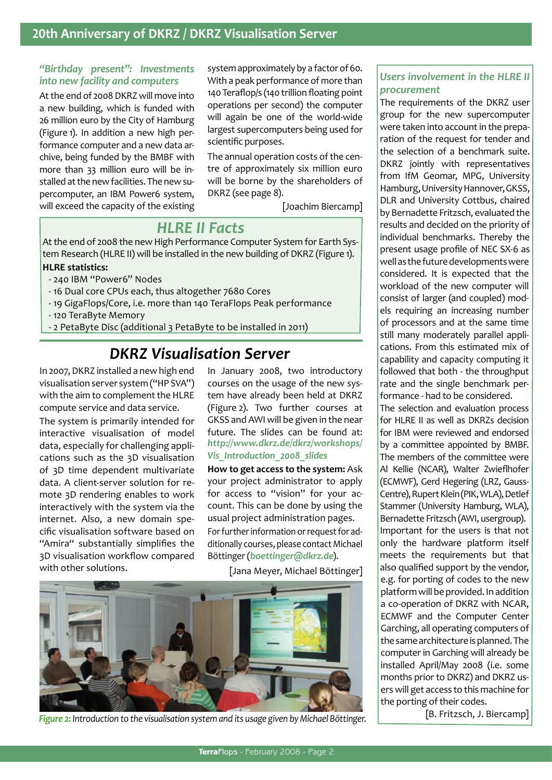# **20th Anniversary of DKRZ / DKRZ Visualisation Server**

### *"Birthday present": Investments into new facility and computers*

At the end of 2008 DKRZ will move into a new building, which is funded with 26 million euro by the City of Hamburg (Figure 1). In addition a new high performance computer and a new data archive, being funded by the BMBF with more than 33 million euro will be installed at the new facilities. The new supercomputer, an IBM Power6 system, will exceed the capacity of the existing

system approximately by a factor of 60. With a peak performance of more than 140 Teraflop/s (140 trillion floating point operations per second) the computer will again be one of the world-wide largest supercomputers being used for scientific purposes.

The annual operation costs of the centre of approximately six million euro will be borne by the shareholders of DKRZ (see page 8).

[Joachim Biercamp]

# *HLRE II Facts*

At the end of 2008 the new High Performance Computer System for Earth System Research (HLRE II) will be installed in the new building of DKRZ (Figure 1).

### **HLRE statistics:**

- 240 IBM "Power6" Nodes
- 16 Dual core CPUs each, thus altogether 7680 Cores
- 19 GigaFlops/Core, i.e. more than 140 TeraFlops Peak performance
- 120 TeraByte Memory
- 2 PetaByte Disc (additional 3 PetaByte to be installed in 2011)

# *DKRZ Visualisation Server*

In 2007, DKRZ installed a new high end visualisation server system ("HP SVA") with the aim to complement the HLRE compute service and data service.

The system is primarily intended for interactive visualisation of model data, especially for challenging applications such as the 3D visualisation of 3D time dependent multivariate data. A client-server solution for remote 3D rendering enables to work interactively with the system via the internet. Also, a new domain specific visualisation software based on "Amira" substantially simplifies the 3D visualisation workflow compared with other solutions.

In January 2008, two introductory courses on the usage of the new system have already been held at DKRZ (Figure 2). Two further courses at GKSS and AWI will be given in the near future. The slides can be found at: *http://www.dkrz.de/dkrz/workshops/ Vis\_Introduction\_2008\_slides*

**How to get access to the system:** Ask your project administrator to apply for access to "vision" for your account. This can be done by using the usual project administration pages. For further information or request for additionally courses, please contact Michael Böttinger (*boettinger@dkrz.de*).

[Jana Meyer, Michael Böttinger]



*Figure 2: Introduction to the visualisation system and its usage given by Michael Böttinger.*

## *Users involvement in the HLRE II procurement*

The requirements of the DKRZ user group for the new supercomputer were taken into account in the preparation of the request for tender and the selection of a benchmark suite. DKRZ jointly with representatives from IfM Geomar, MPG, University Hamburg, University Hannover, GKSS, DLR and University Cottbus, chaired by Bernadette Fritzsch, evaluated the results and decided on the priority of individual benchmarks. Thereby the present usage profile of NEC SX-6 as well as the future developments were considered. It is expected that the workload of the new computer will consist of larger (and coupled) models requiring an increasing number of processors and at the same time still many moderately parallel applications. From this estimated mix of capability and capacity computing it followed that both - the throughput rate and the single benchmark performance - had to be considered. The selection and evaluation process for HLRE II as well as DKRZs decision for IBM were reviewed and endorsed by a committee appointed by BMBF. The members of the committee were Al Kellie (NCAR), Walter Zwieflhofer (ECMWF), Gerd Hegering (LRZ, Gauss-Centre), Rupert Klein (PIK, WLA), Detlef Stammer (University Hamburg, WLA), Bernadette Fritzsch (AWI, usergroup). Important for the users is that not only the hardware platform itself meets the requirements but that also qualified support by the vendor, e.g. for porting of codes to the new platform will be provided. In addition a co-operation of DKRZ with NCAR, ECMWF and the Computer Center

Garching, all operating computers of the same architecture is planned. The computer in Garching will already be installed April/May 2008 (i.e. some months prior to DKRZ) and DKRZ users will get access to this machine for the porting of their codes.

[B. Fritzsch, J. Biercamp]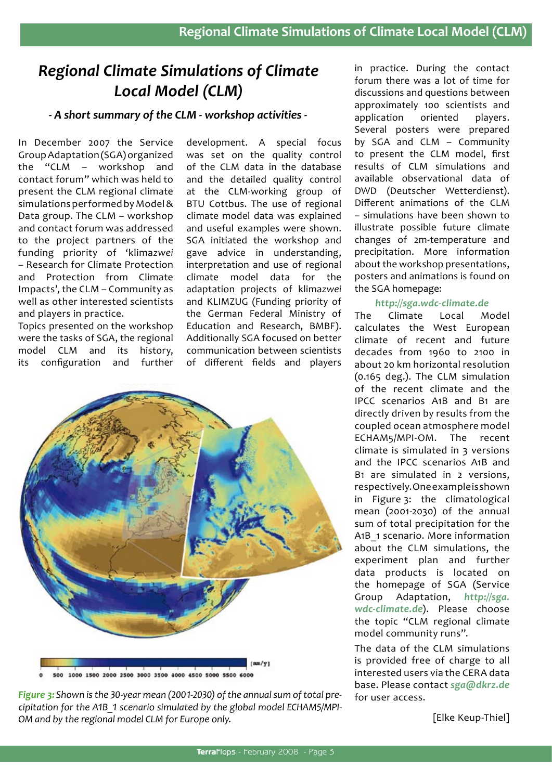# *Regional Climate Simulations of Climate Local Model (CLM)*

## *- A short summary of the CLM - workshop activities -*

In December 2007 the Service Group Adaptation (SGA) organized the "CLM – workshop and contact forum" which was held to present the CLM regional climate simulations performed by Model & Data group. The CLM – workshop and contact forum was addressed to the project partners of the funding priority of 'klima*zwei* – Research for Climate Protection and Protection from Climate Impacts', the CLM – Community as well as other interested scientists and players in practice.

Topics presented on the workshop were the tasks of SGA, the regional model CLM and its history, its configuration and further

development. A special focus was set on the quality control of the CLM data in the database and the detailed quality control at the CLM-working group of BTU Cottbus. The use of regional climate model data was explained and useful examples were shown. SGA initiated the workshop and gave advice in understanding, interpretation and use of regional climate model data for the adaptation projects of klima*zwei* and KLIMZUG (Funding priority of the German Federal Ministry of Education and Research, BMBF). Additionally SGA focused on better communication between scientists of different fields and players



*Figure 3: Shown is the 30-year mean (2001-2030) of the annual sum of total precipitation for the A1B\_1 scenario simulated by the global model ECHAM5/MPI-OM and by the regional model CLM for Europe only.*

in practice. During the contact forum there was a lot of time for discussions and questions between approximately 100 scientists and application oriented players. Several posters were prepared by SGA and CLM – Community to present the CLM model, first results of CLM simulations and available observational data of DWD (Deutscher Wetterdienst). Different animations of the CLM – simulations have been shown to illustrate possible future climate changes of 2m-temperature and precipitation. More information about the workshop presentations, posters and animations is found on the SGA homepage:

#### *http://sga.wdc-climate.de*

The Climate Local Model calculates the West European climate of recent and future decades from 1960 to 2100 in about 20 km horizontal resolution (0.165 deg.). The CLM simulation of the recent climate and the IPCC scenarios A1B and B1 are directly driven by results from the coupled ocean atmosphere model ECHAM5/MPI-OM. The recent climate is simulated in 3 versions and the IPCC scenarios A1B and B1 are simulated in 2 versions, respectively. One example is shown in Figure 3: the climatological mean (2001-2030) of the annual sum of total precipitation for the A1B 1 scenario. More information about the CLM simulations, the experiment plan and further data products is located on the homepage of SGA (Service Group Adaptation, *http://sga. wdc-climate.de*). Please choose the topic "CLM regional climate model community runs".

The data of the CLM simulations is provided free of charge to all interested users via the CERA data base. Please contact *sga@dkrz.de*  for user access.

[Elke Keup-Thiel]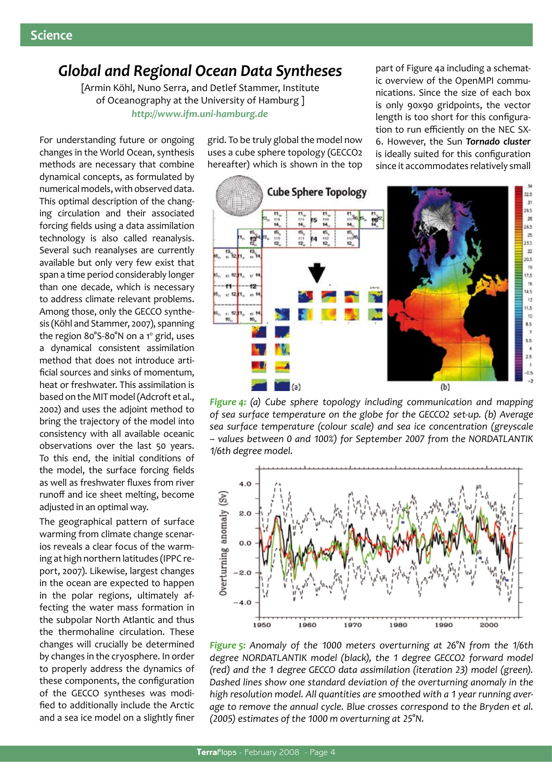# *Global and Regional Ocean Data Syntheses*

[Armin Köhl, Nuno Serra, and Detlef Stammer, Institute of Oceanography at the University of Hamburg ] *http://www.ifm.uni-hamburg.de*

For understanding future or ongoing changes in the World Ocean, synthesis methods are necessary that combine dynamical concepts, as formulated by numerical models, with observed data. This optimal description of the changing circulation and their associated forcing fields using a data assimilation technology is also called reanalysis. Several such reanalyses are currently available but only very few exist that span a time period considerably longer than one decade, which is necessary to address climate relevant problems. Among those, only the GECCO synthesis (Köhl and Stammer, 2007), spanning the region 80°S-80°N on a 1° grid, uses a dynamical consistent assimilation method that does not introduce artificial sources and sinks of momentum, heat or freshwater. This assimilation is based on the MIT model (Adcroft et al., 2002) and uses the adjoint method to bring the trajectory of the model into consistency with all available oceanic observations over the last 50 years. To this end, the initial conditions of the model, the surface forcing fields as well as freshwater fluxes from river runoff and ice sheet melting, become adjusted in an optimal way.

The geographical pattern of surface warming from climate change scenarios reveals a clear focus of the warming at high northern latitudes (IPPC report, 2007). Likewise, largest changes in the ocean are expected to happen in the polar regions, ultimately affecting the water mass formation in the subpolar North Atlantic and thus the thermohaline circulation. These changes will crucially be determined by changes in the cryosphere. In order to properly address the dynamics of these components, the configuration of the GECCO syntheses was modified to additionally include the Arctic and a sea ice model on a slightly finer

grid. To be truly global the model now uses a cube sphere topology (GECCO2 hereafter) which is shown in the top part of Figure 4a including a schematic overview of the OpenMPI communications. Since the size of each box is only 90x90 gridpoints, the vector length is too short for this configuration to run efficiently on the NEC SX-6. However, the Sun *Tornado cluster* is ideally suited for this configuration since it accommodates relatively small



*Figure 4: (a) Cube sphere topology including communication and mapping of sea surface temperature on the globe for the GECCO2 set-up. (b) Average sea surface temperature (colour scale) and sea ice concentration (greyscale – values between 0 and 100%) for September 2007 from the NorDAtlantik 1/6th degree model.* 



*Figure 5: Anomaly of the 1000 meters overturning at 26°N from the 1/6th degree NordAtlantik model (black), the 1 degree GECCO2 forward model (red) and the 1 degree GECCO data assimilation (iteration 23) model (green). Dashed lines show one standard deviation of the overturning anomaly in the high resolution model. All quantities are smoothed with a 1 year running aver*age to remove the annual cycle. Blue crosses correspond to the Bryden et al. *(2005) estimates of the 1000 m overturning at 25°N.*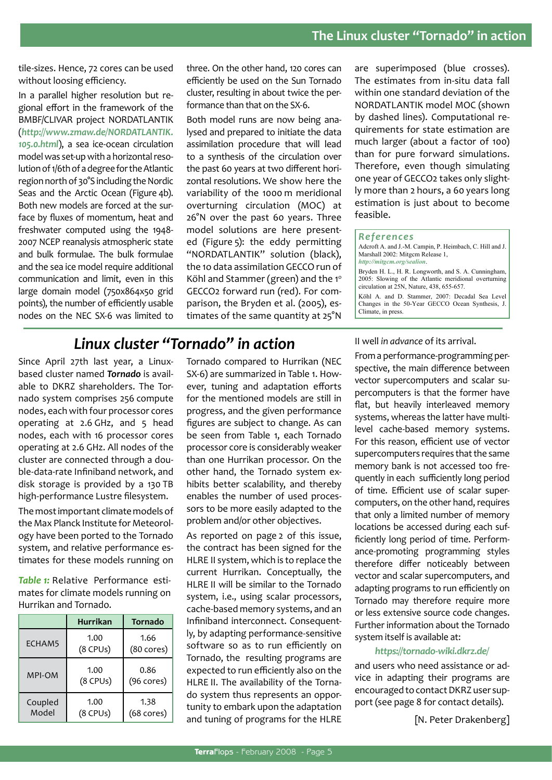tile-sizes. Hence, 72 cores can be used without loosing efficiency.

In a parallel higher resolution but regional effort in the framework of the BMBF/CLIVAR project NORDATLANTIK (*http://www.zmaw.de/NORDATLANTIK. 105.0.html*), a sea ice-ocean circulation model was set-up with a horizontal resolution of 1/6th of a degree for the Atlantic region north of 30°S including the Nordic Seas and the Arctic Ocean (Figure 4b). Both new models are forced at the surface by fluxes of momentum, heat and freshwater computed using the 1948- 2007 NCEP reanalysis atmospheric state and bulk formulae. The bulk formulae and the sea ice model require additional communication and limit, even in this large domain model (750x864x50 grid points), the number of efficiently usable nodes on the NEC SX-6 was limited to

three. On the other hand, 120 cores can efficiently be used on the Sun Tornado cluster, resulting in about twice the performance than that on the SX-6.

Both model runs are now being analysed and prepared to initiate the data assimilation procedure that will lead to a synthesis of the circulation over the past 60 years at two different horizontal resolutions. We show here the variability of the 1000 m meridional overturning circulation (MOC) at 26°N over the past 60 years. Three model solutions are here presented (Figure 5): the eddy permitting "NORDATLANTIK" solution (black), the 1o data assimilation GECCO run of Köhl and Stammer (green) and the  $1^\circ$ GECCO2 forward run (red). For comparison, the Bryden et al. (2005), estimates of the same quantity at 25°N are superimposed (blue crosses). The estimates from in-situ data fall within one standard deviation of the NORDATLANTIK model MOC (shown by dashed lines). Computational requirements for state estimation are much larger (about a factor of 100) than for pure forward simulations. Therefore, even though simulating one year of GECCO2 takes only slightly more than 2 hours, a 60 years long estimation is just about to become feasible.

#### *References*

Adcroft A. and J.-M. Campin, P. Heimbach, C. Hill and J. Marshall 2002: Mitgcm Release 1, *http://mitgcm.org/sealion*.

Bryden H. L., H. R. Longworth, and S. A. Cunningham, 2005: Slowing of the Atlantic meridional overturning circulation at 25N, Nature, 438, 655-657.

Köhl A. and D. Stammer, 2007: Decadal Sea Level Changes in the 50-Year GECCO Ocean Synthesis, J. Climate, in press.

# *Linux cluster "Tornado" in action*

Since April 27th last year, a Linuxbased cluster named *Tornado* is available to DKRZ shareholders. The Tornado system comprises 256 compute nodes, each with four processor cores operating at 2.6 GHz, and 5 head nodes, each with 16 processor cores operating at 2.6 GHz. All nodes of the cluster are connected through a double-data-rate Infiniband network, and disk storage is provided by a 130 TB high-performance Lustre filesystem.

The most important climate models of the Max Planck Institute for Meteorology have been ported to the Tornado system, and relative performance estimates for these models running on

*Table 1:* Relative Performance estimates for climate models running on Hurrikan and Tornado.

|                  | <b>Hurrikan</b>    | Tornado                      |
|------------------|--------------------|------------------------------|
| ECHAM5           | 1.00<br>$(8$ CPUs) | 1.66<br>$(80 \text{ cores})$ |
| <b>MPI-OM</b>    | 1.00<br>(8 CPUs)   | 0.86<br>$(96 \text{ cores})$ |
| Coupled<br>Model | 1.00<br>(8 CPUs)   | 1.38<br>$(68 \text{ cores})$ |

Tornado compared to Hurrikan (NEC SX-6) are summarized in Table 1. However, tuning and adaptation efforts for the mentioned models are still in progress, and the given performance figures are subject to change. As can be seen from Table 1, each Tornado processor core is considerably weaker than one Hurrikan processor. On the other hand, the Tornado system exhibits better scalability, and thereby enables the number of used processors to be more easily adapted to the problem and/or other objectives.

As reported on page 2 of this issue, the contract has been signed for the HLRE II system, which is to replace the current Hurrikan. Conceptually, the HLRE II will be similar to the Tornado system, i.e., using scalar processors, cache-based memory systems, and an Infiniband interconnect. Consequently, by adapting performance-sensitive software so as to run efficiently on Tornado, the resulting programs are expected to run efficiently also on the HLRE II. The availability of the Tornado system thus represents an opportunity to embark upon the adaptation and tuning of programs for the HLRE

II well *in advance* of its arrival.

From a performance-programming perspective, the main difference between vector supercomputers and scalar supercomputers is that the former have flat, but heavily interleaved memory systems, whereas the latter have multilevel cache-based memory systems. For this reason, efficient use of vector supercomputers requires that the same memory bank is not accessed too frequently in each sufficiently long period of time. Efficient use of scalar supercomputers, on the other hand, requires that only a limited number of memory locations be accessed during each sufficiently long period of time. Performance-promoting programming styles therefore differ noticeably between vector and scalar supercomputers, and adapting programs to run efficiently on Tornado may therefore require more or less extensive source code changes. Further information about the Tornado system itself is available at:

#### *https://tornado-wiki.dkrz.de/*

and users who need assistance or advice in adapting their programs are encouraged to contact DKRZ user support (see page 8 for contact details).

[N. Peter Drakenberg]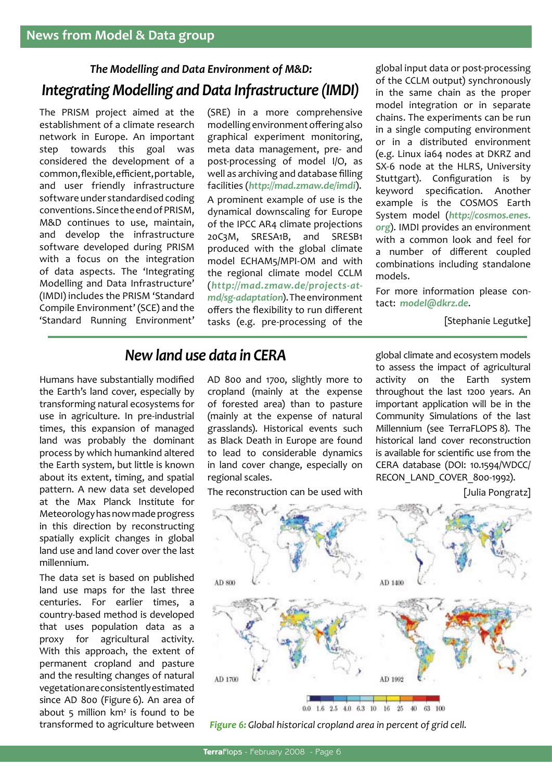# *The Modelling and Data Environment of M&D: Integrating Modelling and Data Infrastructure (IMDI)*

The PRISM project aimed at the establishment of a climate research network in Europe. An important step towards this goal was considered the development of a common, flexible, efficient, portable, and user friendly infrastructure software under standardised coding conventions. Since the end of PRISM, M&D continues to use, maintain, and develop the infrastructure software developed during PRISM with a focus on the integration of data aspects. The 'Integrating Modelling and Data Infrastructure' (IMDI) includes the PRISM 'Standard Compile Environment' (SCE) and the 'Standard Running Environment'

(SRE) in a more comprehensive modelling environment offering also graphical experiment monitoring, meta data management, pre- and post-processing of model I/O, as well as archiving and database filling facilities (*http://mad.zmaw.de/imdi*). A prominent example of use is the dynamical downscaling for Europe of the IPCC AR4 climate projections 20C3M, SRESA1B, and SRESB1 produced with the global climate model ECHAM5/MPI-OM and with the regional climate model CCLM (*http://mad.zmaw.de/projects-atmd/sg-adaptation*). The environment offers the flexibility to run different tasks (e.g. pre-processing of the

global input data or post-processing of the CCLM output) synchronously in the same chain as the proper model integration or in separate chains. The experiments can be run in a single computing environment or in a distributed environment (e.g. Linux ia64 nodes at DKRZ and SX-6 node at the HLRS, University Stuttgart). Configuration is by keyword specification. Another example is the COSMOS Earth System model (*http://cosmos.enes. org*). IMDI provides an environment with a common look and feel for a number of different coupled combinations including standalone models.

For more information please contact: *model@dkrz.de*.

[Stephanie Legutke]

# *New land use data in CERA*

Humans have substantially modified the Earth's land cover, especially by transforming natural ecosystems for use in agriculture. In pre-industrial times, this expansion of managed land was probably the dominant process by which humankind altered the Earth system, but little is known about its extent, timing, and spatial pattern. A new data set developed at the Max Planck Institute for Meteorology has now made progress in this direction by reconstructing spatially explicit changes in global land use and land cover over the last millennium.

The data set is based on published land use maps for the last three centuries. For earlier times, a country-based method is developed that uses population data as a proxy for agricultural activity. With this approach, the extent of permanent cropland and pasture and the resulting changes of natural vegetation are consistently estimated since AD 800 (Figure 6). An area of about 5 million km² is found to be transformed to agriculture between

AD 800 and 1700, slightly more to cropland (mainly at the expense of forested area) than to pasture (mainly at the expense of natural grasslands). Historical events such as Black Death in Europe are found to lead to considerable dynamics in land cover change, especially on regional scales.

The reconstruction can be used with

global climate and ecosystem models to assess the impact of agricultural activity on the Earth system throughout the last 1200 years. An important application will be in the Community Simulations of the last Millennium (see TerraFLOPS 8). The historical land cover reconstruction is available for scientific use from the CERA database (DOI: 10.1594/WDCC/ RECON\_LAND\_COVER\_800-1992).

[Julia Pongratz]



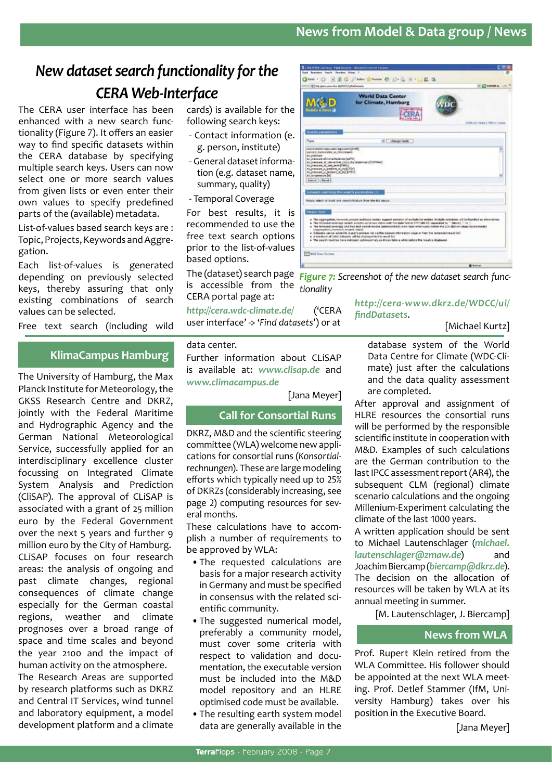## **News from Model & Data group / News**

# *New dataset search functionality for the CERA Web-Interface*

The CERA user interface has been enhanced with a new search functionality (Figure 7). It offers an easier way to find specific datasets within the CERA database by specifying multiple search keys. Users can now select one or more search values from given lists or even enter their own values to specify predefined parts of the (available) metadata.

List-of-values based search keys are : Topic, Projects, Keywords and Aggregation.

Each list-of-values is generated depending on previously selected keys, thereby assuring that only existing combinations of search values can be selected.

Free text search (including wild

### **KlimaCampus Hamburg**

The University of Hamburg, the Max Planck Institute for Meteorology, the GKSS Research Centre and DKRZ, jointly with the Federal Maritime and Hydrographic Agency and the German National Meteorological Service, successfully applied for an interdisciplinary excellence cluster focussing on Integrated Climate System Analysis and Prediction (CliSAP). The approval of CLiSAP is associated with a grant of 25 million euro by the Federal Government over the next 5 years and further 9 million euro by the City of Hamburg. CLiSAP focuses on four research areas: the analysis of ongoing and past climate changes, regional consequences of climate change especially for the German coastal regions, weather and climate prognoses over a broad range of space and time scales and beyond the year 2100 and the impact of human activity on the atmosphere. The Research Areas are supported by research platforms such as DKRZ and Central IT Services, wind tunnel

and laboratory equipment, a model development platform and a climate

cards) is available for the following search keys:

- Contact information (e. g. person, institute)
- General dataset information (e.g. dataset name, summary, quality)
- Temporal Coverage

For best results, it is recommended to use the free text search options prior to the list-of-values based options.

The (dataset) search page is accessible from the CERA portal page at:

*http://cera.wdc-climate.de/* ('CERA user interface' -> '*Find datasets*') or at

#### data center.

Further information about CLiSAP is available at: *www.clisap.de* and *www.climacampus.de*

[Jana Meyer]

### **Call for Consortial Runs**

DKRZ, M&D and the scientific steering committee (WLA) welcome new applications for consortial runs (*Konsortialrechnungen*). These are large modeling efforts which typically need up to 25% of DKRZs (considerably increasing, see page 2) computing resources for several months.

These calculations have to accomplish a number of requirements to be approved by WLA:

- •The requested calculations are basis for a major research activity in Germany and must be specified in consensus with the related scientific community.
- •The suggested numerical model, preferably a community model, must cover some criteria with respect to validation and documentation, the executable version must be included into the M&D model repository and an HLRE optimised code must be available.
- •The resulting earth system model data are generally available in the



*Figure 7: Screenshot of the new dataset search functionality*

*http://cera-www.dkrz.de/WDCC/ui/ findDatasets*.

[Michael Kurtz]

database system of the World Data Centre for Climate (WDC-Climate) just after the calculations and the data quality assessment are completed.

After approval and assignment of HLRE resources the consortial runs will be performed by the responsible scientific institute in cooperation with M&D. Examples of such calculations are the German contribution to the last IPCC assessment report (AR4), the subsequent CLM (regional) climate scenario calculations and the ongoing Millenium-Experiment calculating the climate of the last 1000 years.

A written application should be sent to Michael Lautenschlager (*michael. lautenschlager@zmaw.de*) and Joachim Biercamp (*biercamp@dkrz.de*). The decision on the allocation of resources will be taken by WLA at its annual meeting in summer.

[M. Lautenschlager, J. Biercamp]

### **News from WLA**

Prof. Rupert Klein retired from the WLA Committee. His follower should be appointed at the next WLA meeting. Prof. Detlef Stammer (IfM, University Hamburg) takes over his position in the Executive Board.

[Jana Meyer]